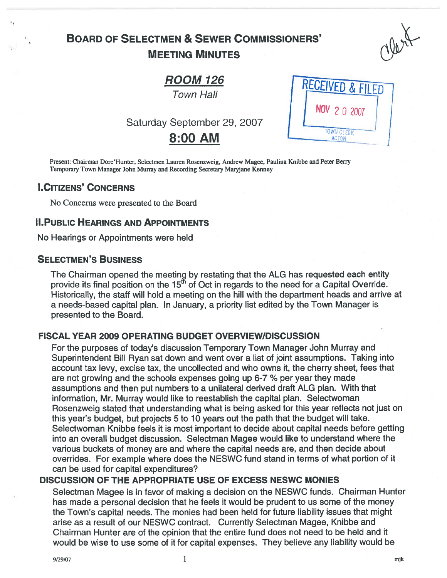## BOARD OF SELECTMEN & SEWER COMMISSIONERS' MEETING MINUTES

# **ROOM 126**<br>Town Hall

Saturday September 29, 2007

# 8:00 AM

| <b>RECEIVED &amp; FILED</b>       |  |
|-----------------------------------|--|
| NOV 2 0 2007                      |  |
| <b>TOWN CLERK</b><br><b>ACTON</b> |  |

Present: Chairman Dore'Hunter, Selectmen Lauren Rosenzweig, Andrew Magee, Paulina Knibbe and Peter Berry Temporary Town Manager John Murray and Recording Secretary Maryjane Kenney

## **I.CITIZENS' CONCERNS**

No Concerns were presented to the Board

#### II.PuBLIC HEARINGS AND APPOINTMENTS

No Hearings or Appointments were held

#### SELECTMEN'S BUSINESS

The Chairman opened the meeting by restating that the ALG has requested each entity provide its final position on the 15<sup>th</sup> of Oct in regards to the need for a Capital Override. Historically, the staff will hold <sup>a</sup> meeting on the hill with the department heads and arrive at <sup>a</sup> needs-based capital plan. In January, <sup>a</sup> priority list edited by the Town Manager is presented to the Board.

#### FISCAL YEAR 2009 OPERATING BUDGET OVERVIEW/DISCUSSION

For the purposes of today's discussion Temporary Town Manager John Murray and Superintendent Bill Ryan sat down and went over <sup>a</sup> list of joint assumptions. Taking into account tax levy, excise tax, the uncollected and who owns it, the cherry sheet, fees that are not growing and the schools expenses going up 6-7 % per year they made assumptions and then pu<sup>t</sup> numbers to <sup>a</sup> unilateral derived draft ALG plan. With that information, Mr. Murray would like to reestablish the capital plan. Selectwoman Rosenzweig stated that understanding what is being asked for this year reflects not just on this year's budget, but projects 5 to 10 years out the path that the budget will take. Selectwoman Knibbe feels it is most important to decide about capital needs before getting into an overall budget discussion. Selectman Magee would like to understand where the various buckets of money are and where the capital needs are, and then decide about overrides. For example where does the NESWC fund stand in terms of what portion of it can be used for capital expenditures?

## DISCUSSION OF THE APPROPRIATE USE OF EXCESS NESWC MONIES

Selectman Magee is in favor of making <sup>a</sup> decision on the NESWC funds. Chairman Hunter has made <sup>a</sup> personal decision that he feels it would be prudent to us some of the money the Town's capital needs. The monies had been held for future liability issues that might arise as <sup>a</sup> result of our NESWC contract. Currently Selectman Magee, Knibbe and Chairman Hunter are of the opinion that the entire fund does not need to be held and it would be wise to use some of it for capital expenses. They believe any liability would be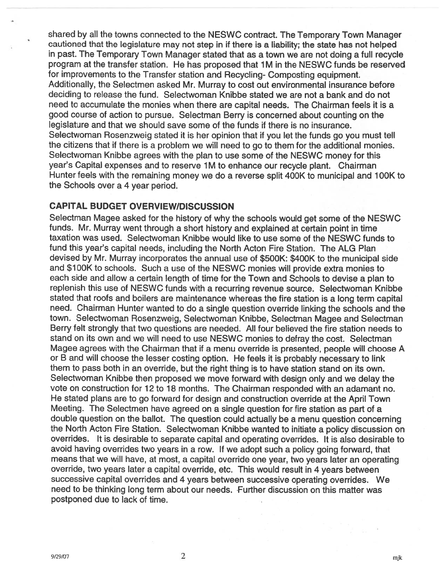shared by all the towns connected to the NESWC contract. The Temporary Town Manager cautioned that the legislature may not step in if there is <sup>a</sup> liability; the state has not helped in past. The Temporary Town Manager stated that as <sup>a</sup> town we are not doing <sup>a</sup> full recycle program at the transfer station. He has proposed that 1 M in the NESWC funds be reserved for improvements to the Transfer station and Recycling- Composting equipment. Additionally, the Selectmen asked Mr. Murray to cost out environmental insurance before deciding to release the fund. Selectwoman Knibbe stated we are not <sup>a</sup> bank and do not need to accumulate the monies when there are capital needs. The Chairman feels it is <sup>a</sup> good course of action to pursue. Selectman Berry is concerned about counting on the legislature and that we should save some of the funds if there is no insurance. Selectwoman Rosenzweig stated it is her opinion that if you let the funds go you must tell the citizens that if there is <sup>a</sup> problem we will need to go to them for the additional monies. Selectwoman Knibbe agrees with the <sup>p</sup>lan to use some of the NESWC money for this year's Capital expenses and to reserve 1M to enhance our recycle plant. Chairman Hunter feels with the remaining money we do <sup>a</sup> reverse split 400K to municipal and 100K to the Schools over <sup>a</sup> 4 year period.

#### CAPITAL BUDGET OVERVIEW/DISCUSSION

Selectman Magee asked for the history of why the schools would ge<sup>t</sup> some of the NESWC funds. Mr. Murray went through <sup>a</sup> short history and explained at certain point in time taxation was used. Selectwoman Knibbe would like to use some of the NESWC funds to fund this year's capital needs, including the North Acton Fire Station. The ALG Plan devised by Mr. Murray incorporates the annual use of \$500K: \$400K to the municipal side and \$1 00K to schools. Such <sup>a</sup> use of the NESWC monies will provide extra monies to each side and allow <sup>a</sup> certain length of time for the Town and Schools to devise <sup>a</sup> <sup>p</sup>lan to replenish this use of NESWC funds with <sup>a</sup> recurring revenue source. Selectwoman Knibbe stated that roofs and boilers are maintenance whereas the fire station is <sup>a</sup> long term capital need. Chairman Hunter wanted to do <sup>a</sup> single question override linking the schools and the town. Selectwoman Rosenzweig, Selectwoman Knibbe, Selectman Magee and Selectman Berry felt strongly that two questions are needed. All four believed the fire station needs to stand on its own and we will need to use NESWC monies to defray the cost. Selectman Magee agrees with the Chairman that if <sup>a</sup> menu override is presented, people will choose A or <sup>B</sup> and will choose the lesser costing option. He feels it is probably necessary to link them to pass both in an override, but the right thing is to have station stand on its own. Selectwoman Knibbe then propose<sup>d</sup> we move forward with design only and we delay the vote on construction for 12 to 18 months. The Chairman responded with an adamant no. He stated <sup>p</sup>lans are to go forward for design and construction override at the April Town Meeting. The Selectmen have agree<sup>d</sup> on <sup>a</sup> single question for fire station as par<sup>t</sup> of <sup>a</sup> double question on the ballot. The question could actually be <sup>a</sup> menu question concerning the North Acton Fire Station. Selectwoman Knibbe wanted to initiate <sup>a</sup> policy discussion on overrides. It is desirable to separate capital and operating overrides. It is also desirable to avoid having overrides two years in <sup>a</sup> row. If we adopt such <sup>a</sup> policy going forward, that means that we will have, at most, <sup>a</sup> capital override one year, two years later an operating override, two years later <sup>a</sup> capital override, etc. This would result in <sup>4</sup> years between successive capital overrides and <sup>4</sup> years between successive operating overrides. We need to be thinking long term about our needs. Further discussion on this matter was postponed due to lack of time.